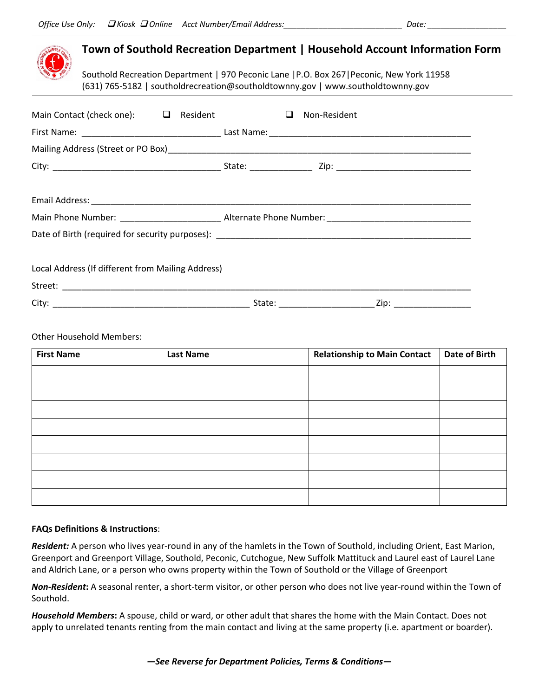|  | Town of Southold Recreation Department   Household Account Information Form                                                                                                   |  |          |  |  |              |  |
|--|-------------------------------------------------------------------------------------------------------------------------------------------------------------------------------|--|----------|--|--|--------------|--|
|  | Southold Recreation Department   970 Peconic Lane   P.O. Box 267   Peconic, New York 11958<br>(631) 765-5182   southoldrecreation@southoldtownny.gov   www.southoldtownny.gov |  |          |  |  |              |  |
|  | Main Contact (check one): $\Box$                                                                                                                                              |  | Resident |  |  | Non-Resident |  |
|  |                                                                                                                                                                               |  |          |  |  |              |  |
|  | Mailing Address (Street or PO Box) Mailing Address (Street or PO Box)                                                                                                         |  |          |  |  |              |  |
|  |                                                                                                                                                                               |  |          |  |  |              |  |
|  |                                                                                                                                                                               |  |          |  |  |              |  |

| Email Address:                                  |                         |  |  |  |  |  |  |  |  |
|-------------------------------------------------|-------------------------|--|--|--|--|--|--|--|--|
| Main Phone Number:                              | Alternate Phone Number: |  |  |  |  |  |  |  |  |
| Date of Birth (required for security purposes): |                         |  |  |  |  |  |  |  |  |

Local Address (If different from Mailing Address) Street: \_\_\_\_\_\_\_\_\_\_\_\_\_\_\_\_\_\_\_\_\_\_\_\_\_\_\_\_\_\_\_\_\_\_\_\_\_\_\_\_\_\_\_\_\_\_\_\_\_\_\_\_\_\_\_\_\_\_\_\_\_\_\_\_\_\_\_\_\_\_\_\_\_\_\_\_\_\_\_\_\_\_\_\_\_ City: \_\_\_\_\_\_\_\_\_\_\_\_\_\_\_\_\_\_\_\_\_\_\_\_\_\_\_\_\_\_\_\_\_\_\_\_\_\_\_\_\_ State: \_\_\_\_\_\_\_\_\_\_\_\_\_\_\_\_\_\_\_\_ Zip: \_\_\_\_\_\_\_\_\_\_\_\_\_\_\_\_

Other Household Members:

| <b>First Name</b> | <b>Last Name</b> | <b>Relationship to Main Contact</b> | Date of Birth |
|-------------------|------------------|-------------------------------------|---------------|
|                   |                  |                                     |               |
|                   |                  |                                     |               |
|                   |                  |                                     |               |
|                   |                  |                                     |               |
|                   |                  |                                     |               |
|                   |                  |                                     |               |
|                   |                  |                                     |               |
|                   |                  |                                     |               |

# **FAQs Definitions & Instructions**:

*Resident:* A person who lives year‐round in any of the hamlets in the Town of Southold, including Orient, East Marion, Greenport and Greenport Village, Southold, Peconic, Cutchogue, New Suffolk Mattituck and Laurel east of Laurel Lane and Aldrich Lane, or a person who owns property within the Town of Southold or the Village of Greenport

*Non‐Resident***:** A seasonal renter, a short‐term visitor, or other person who does not live year‐round within the Town of Southold.

*Household Members***:** A spouse, child or ward, or other adult that shares the home with the Main Contact. Does not apply to unrelated tenants renting from the main contact and living at the same property (i.e. apartment or boarder).

*—See Reverse for Department Policies, Terms & Conditions—*